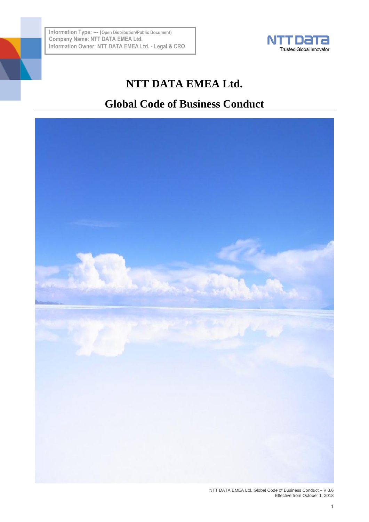

# **NTT DATA EMEA Ltd.**

# **Global Code of Business Conduct**

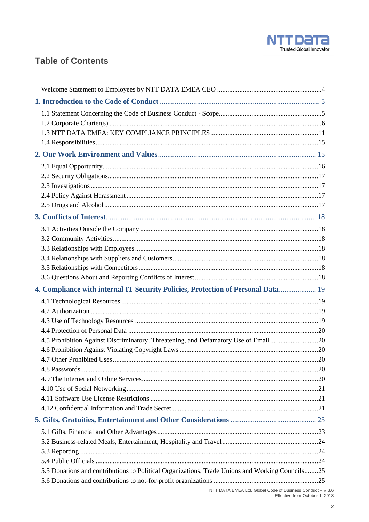

## **Table of Contents**

| 4. Compliance with internal IT Security Policies, Protection of Personal Data 19                |  |
|-------------------------------------------------------------------------------------------------|--|
|                                                                                                 |  |
|                                                                                                 |  |
|                                                                                                 |  |
|                                                                                                 |  |
| 4.5 Prohibition Against Discriminatory, Threatening, and Defamatory Use of Email20              |  |
|                                                                                                 |  |
|                                                                                                 |  |
|                                                                                                 |  |
|                                                                                                 |  |
|                                                                                                 |  |
|                                                                                                 |  |
|                                                                                                 |  |
|                                                                                                 |  |
|                                                                                                 |  |
|                                                                                                 |  |
|                                                                                                 |  |
|                                                                                                 |  |
| 5.5 Donations and contributions to Political Organizations, Trade Unions and Working Councils25 |  |

NTT DATA EMEA Ltd. Global Code of Business Conduct - V 3.6<br>Effective from October 1, 2018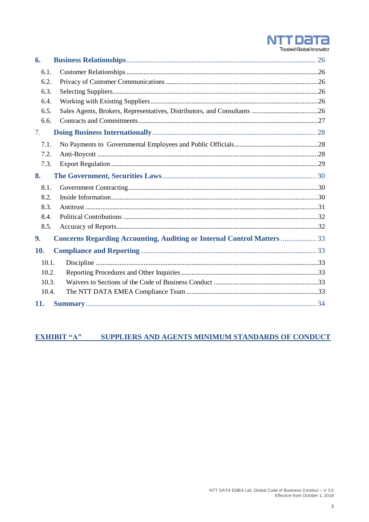

6.  $6.1.$  $6.2.$  $6.3.$  $6.4.$ 6.5. 66  $7.$  $7.1.$  $72$  $7.3.$  $\overline{\mathbf{8}}$ .  $8.1.$  $8.2.$  $8.3.$ 84  $8.5.$ 9. **Concerns Regarding Accounting, Auditing or Internal Control Matters ................... 33** 10.  $10<sub>1</sub>$ 10.2. 10.3. 10.4. 11. 

#### SUPPLIERS AND AGENTS MINIMUM STANDARDS OF CONDUCT **EXHIBIT "A"**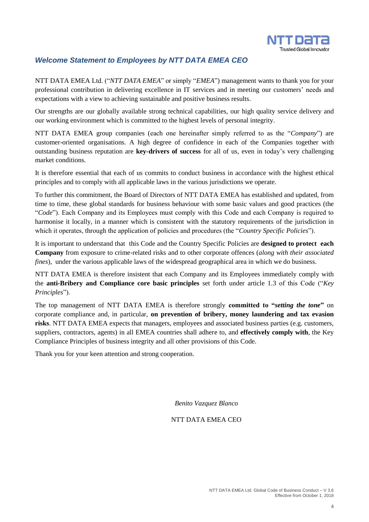

## <span id="page-3-0"></span>*Welcome Statement to Employees by NTT DATA EMEA CEO*

NTT DATA EMEA Ltd. ("*NTT DATA EMEA*" or simply "*EMEA*") management wants to thank you for your professional contribution in delivering excellence in IT services and in meeting our customers' needs and expectations with a view to achieving sustainable and positive business results.

Our strengths are our globally available strong technical capabilities, our high quality service delivery and our working environment which is committed to the highest levels of personal integrity.

NTT DATA EMEA group companies (each one hereinafter simply referred to as the "*Company*") are customer-oriented organisations. A high degree of confidence in each of the Companies together with outstanding business reputation are **key-drivers of success** for all of us, even in today's very challenging market conditions.

It is therefore essential that each of us commits to conduct business in accordance with the highest ethical principles and to comply with all applicable laws in the various jurisdictions we operate.

To further this commitment, the Board of Directors of NTT DATA EMEA has established and updated, from time to time, these global standards for business behaviour with some basic values and good practices (the "*Code*"). Each Company and its Employees must comply with this Code and each Company is required to harmonise it locally, in a manner which is consistent with the statutory requirements of the jurisdiction in which it operates, through the application of policies and procedures (the "*Country Specific Policies*").

It is important to understand that this Code and the Country Specific Policies are **designed to protect each Company** from exposure to crime-related risks and to other corporate offences (*along with their associated fines*), under the various applicable laws of the widespread geographical area in which we do business.

NTT DATA EMEA is therefore insistent that each Company and its Employees immediately comply with the **anti-Bribery and Compliance core basic principles** set forth under article 1.3 of this Code ("*Key Principles*").

The top management of NTT DATA EMEA is therefore strongly **committed to "***setting the tone***"** on corporate compliance and, in particular, **on prevention of bribery, money laundering and tax evasion risks**. NTT DATA EMEA expects that managers, employees and associated business parties (e.g. customers, suppliers, contractors, agents) in all EMEA countries shall adhere to, and **effectively comply with**, the Key Compliance Principles of business integrity and all other provisions of this Code.

Thank you for your keen attention and strong cooperation.

*Benito Vazquez Blanco*

#### NTT DATA EMEA CEO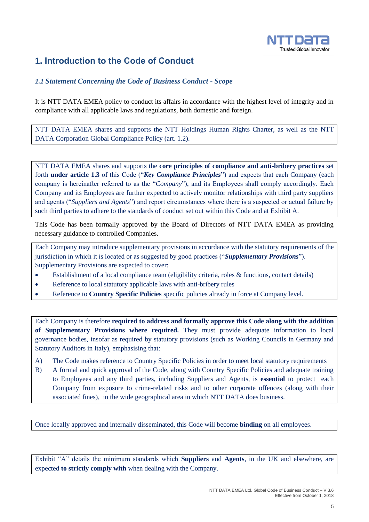

## <span id="page-4-0"></span>**1. Introduction to the Code of Conduct**

## <span id="page-4-1"></span>*1.1 Statement Concerning the Code of Business Conduct - Scope*

It is NTT DATA EMEA policy to conduct its affairs in accordance with the highest level of integrity and in compliance with all applicable laws and regulations, both domestic and foreign.

NTT DATA EMEA shares and supports the NTT Holdings Human Rights Charter, as well as the NTT DATA Corporation Global Compliance Policy (art. 1.2).

NTT DATA EMEA shares and supports the **core principles of compliance and anti-bribery practices** set forth **under article 1.3** of this Code ("*Key Compliance Principles*") and expects that each Company (each company is hereinafter referred to as the "*Company*"), and its Employees shall comply accordingly. Each Company and its Employees are further expected to actively monitor relationships with third party suppliers and agents ("*Suppliers and Agents*") and report circumstances where there is a suspected or actual failure by such third parties to adhere to the standards of conduct set out within this Code and at Exhibit A.

This Code has been formally approved by the Board of Directors of NTT DATA EMEA as providing necessary guidance to controlled Companies.

Each Company may introduce supplementary provisions in accordance with the statutory requirements of the jurisdiction in which it is located or as suggested by good practices ("*Supplementary Provisions*"). Supplementary Provisions are expected to cover:

- Establishment of a local compliance team (eligibility criteria, roles & functions, contact details)
- Reference to local statutory applicable laws with anti-bribery rules
- Reference to **Country Specific Policies** specific policies already in force at Company level.

Each Company is therefore **required to address and formally approve this Code along with the addition of Supplementary Provisions where required.** They must provide adequate information to local governance bodies, insofar as required by statutory provisions (such as Working Councils in Germany and Statutory Auditors in Italy), emphasising that:

- A) The Code makes reference to Country Specific Policies in order to meet local statutory requirements
- B) A formal and quick approval of the Code, along with Country Specific Policies and adequate training to Employees and any third parties, including Suppliers and Agents, is **essential** to protect each Company from exposure to crime-related risks and to other corporate offences (along with their associated fines), in the wide geographical area in which NTT DATA does business.

Once locally approved and internally disseminated, this Code will become **binding** on all employees.

Exhibit "A" details the minimum standards which **Suppliers** and **Agents**, in the UK and elsewhere, are expected **to strictly comply with** when dealing with the Company.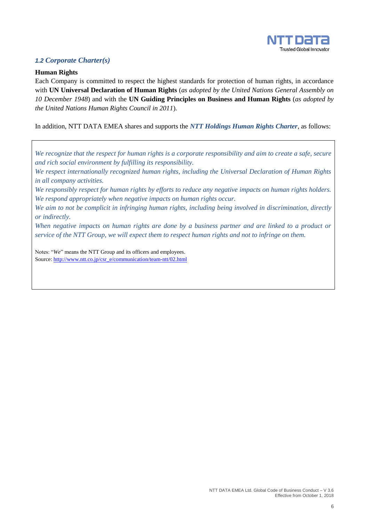

## <span id="page-5-0"></span>*1.2 Corporate Charter(s)*

#### **Human Rights**

Each Company is committed to respect the highest standards for protection of human rights, in accordance with **UN Universal Declaration of Human Rights** (*as adopted by the United Nations General Assembly on 10 December 1948*) and with the **UN Guiding Principles on Business and Human Rights** (*as adopted by the United Nations Human Rights Council in 2011*).

In addition, NTT DATA EMEA shares and supports the *NTT Holdings Human Rights Charter*, as follows:

*We recognize that the respect for human rights is a corporate responsibility and aim to create a safe, secure and rich social environment by fulfilling its responsibility.*

*We respect internationally recognized human rights, including the Universal Declaration of Human Rights in all company activities.*

*We responsibly respect for human rights by efforts to reduce any negative impacts on human rights holders. We respond appropriately when negative impacts on human rights occur.*

*We aim to not be complicit in infringing human rights, including being involved in discrimination, directly or indirectly.*

*When negative impacts on human rights are done by a business partner and are linked to a product or service of the NTT Group, we will expect them to respect human rights and not to infringe on them.*

Notes: "*We*" means the NTT Group and its officers and employees. Source[: http://www.ntt.co.jp/csr\\_e/communication/team-ntt/02.html](http://www.ntt.co.jp/csr_e/communication/team-ntt/02.html)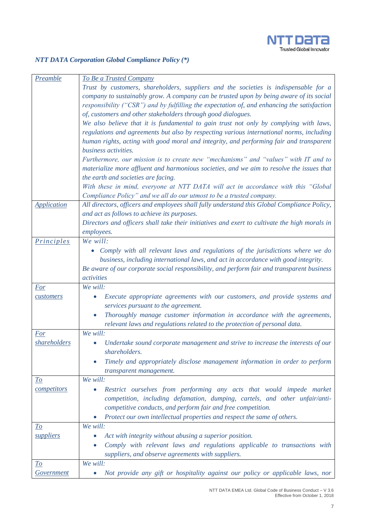

## *NTT DATA Corporation Global Compliance Policy (\*)*

| <b>Preamble</b>                 | <b>To Be a Trusted Company</b>                                                                                         |
|---------------------------------|------------------------------------------------------------------------------------------------------------------------|
|                                 | Trust by customers, shareholders, suppliers and the societies is indispensable for a                                   |
|                                 | company to sustainably grow. A company can be trusted upon by being aware of its social                                |
|                                 | responsibility ("CSR") and by fulfilling the expectation of, and enhancing the satisfaction                            |
|                                 | of, customers and other stakeholders through good dialogues.                                                           |
|                                 | We also believe that it is fundamental to gain trust not only by complying with laws,                                  |
|                                 | regulations and agreements but also by respecting various international norms, including                               |
|                                 | human rights, acting with good moral and integrity, and performing fair and transparent                                |
|                                 | business activities.                                                                                                   |
|                                 | Furthermore, our mission is to create new "mechanisms" and "values" with IT and to                                     |
|                                 | materialize more affluent and harmonious societies, and we aim to resolve the issues that                              |
|                                 | the earth and societies are facing.                                                                                    |
|                                 | With these in mind, everyone at NTT DATA will act in accordance with this "Global                                      |
|                                 | Compliance Policy" and we all do our utmost to be a trusted company.                                                   |
| <b>Application</b>              | All directors, officers and employees shall fully understand this Global Compliance Policy,                            |
|                                 | and act as follows to achieve its purposes.                                                                            |
|                                 | Directors and officers shall take their initiatives and exert to cultivate the high morals in                          |
|                                 | employees.                                                                                                             |
| <i><u><b>Principles</b></u></i> | We will:                                                                                                               |
|                                 |                                                                                                                        |
|                                 | • Comply with all relevant laws and regulations of the jurisdictions where we do                                       |
|                                 | business, including international laws, and act in accordance with good integrity.                                     |
|                                 | Be aware of our corporate social responsibility, and perform fair and transparent business                             |
|                                 | activities<br>We will:                                                                                                 |
| <b>For</b>                      |                                                                                                                        |
| customers                       | Execute appropriate agreements with our customers, and provide systems and<br>0<br>services pursuant to the agreement. |
|                                 | Thoroughly manage customer information in accordance with the agreements,                                              |
|                                 | relevant laws and regulations related to the protection of personal data.                                              |
| <u>For</u>                      | We will:                                                                                                               |
| <i>shareholders</i>             | Undertake sound corporate management and strive to increase the interests of our<br>$\bullet$                          |
|                                 | shareholders.                                                                                                          |
|                                 | Timely and appropriately disclose management information in order to perform<br>$\bullet$                              |
|                                 | transparent management.                                                                                                |
| <u>To</u>                       | We will:                                                                                                               |
| competitors                     | Restrict ourselves from performing any acts that would impede market<br>$\bullet$                                      |
|                                 | competition, including defamation, dumping, cartels, and other unfair/anti-                                            |
|                                 | competitive conducts, and perform fair and free competition.                                                           |
|                                 | Protect our own intellectual properties and respect the same of others.                                                |
| <u>To</u>                       | We will:                                                                                                               |
| <i>suppliers</i>                | Act with integrity without abusing a superior position.                                                                |
|                                 | Comply with relevant laws and regulations applicable to transactions with                                              |
|                                 | suppliers, and observe agreements with suppliers.                                                                      |
| <u>To</u>                       | We will:                                                                                                               |
| <b>Government</b>               | Not provide any gift or hospitality against our policy or applicable laws, nor<br>$\bullet$                            |
|                                 |                                                                                                                        |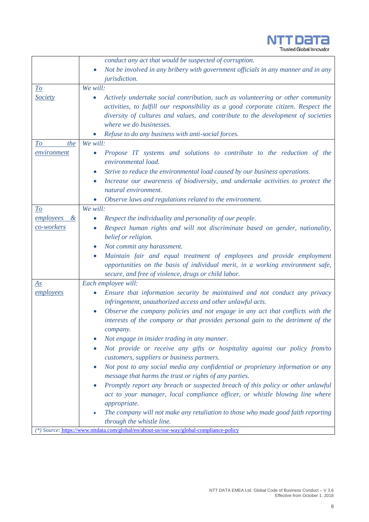

*conduct any act that would be suspected of corruption. Not be involved in any bribery with government officials in any manner and in any jurisdiction. To Society We will: Actively undertake social contribution, such as volunteering or other community activities, to fulfill our responsibility as a good corporate citizen. Respect the diversity of cultures and values, and contribute to the development of societies where we do businesses. Refuse to do any business with anti-social forces. To the environment We will: Propose IT systems and solutions to contribute to the reduction of the environmental load. Strive to reduce the environmental load caused by our business operations. Increase our awareness of biodiversity, and undertake activities to protect the natural environment. Observe laws and regulations related to the environment. To employees & co-workers We will: Respect the individuality and personality of our people. Respect human rights and will not discriminate based on gender, nationality, belief or religion. Not commit any harassment. Maintain fair and equal treatment of employees and provide employment opportunities on the basis of individual merit, in a working environment safe, secure, and free of violence, drugs or child labor. As employees Each employee will: Ensure that information security be maintained and not conduct any privacy infringement, unauthorized access and other unlawful acts. Observe the company policies and not engage in any act that conflicts with the*  interests of the company or that provides personal gain to the detriment of the *company. Not engage in insider trading in any manner. Not provide or receive any gifts or hospitality against our policy from/to customers, suppliers or business partners. Not post to any social media any confidential or proprietary information or any message that harms the trust or rights of any parties. Promptly report any breach or suspected breach of this policy or other unlawful act to your manager, local compliance officer, or whistle blowing line where appropriate. The company will not make any retaliation to those who made good faith reporting through the whistle line. (\*) Source:* <https://www.nttdata.com/global/en/about-us/our-way/global-compliance-policy>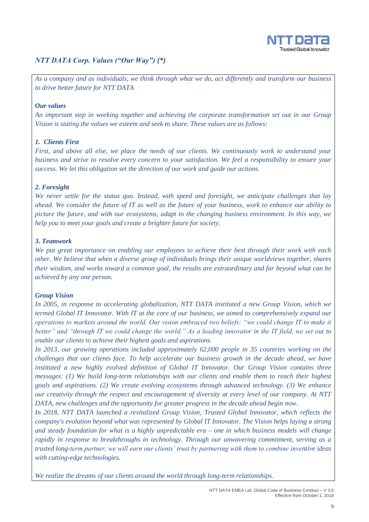

## *NTT DATA Corp. Values ("Our Way") (\*)*

*As a company and as individuals, we think through what we do, act differently and transform our business to drive better future for NTT DATA*

#### *Our values*

*An important step in working together and achieving the corporate transformation set out in our Group Vision is stating the values we esteem and seek to share. These values are as follows:*

#### *1. Clients First*

*First, and above all else, we place the needs of our clients. We continuously work to understand your business and strive to resolve every concern to your satisfaction. We feel a responsibility to ensure your success. We let this obligation set the direction of our work and guide our actions.*

#### *2. Foresight*

*We never settle for the status quo. Instead, with speed and foresight, we anticipate challenges that lay ahead. We consider the future of IT as well as the future of your business, work to enhance our ability to picture the future, and with our ecosystems, adapt to the changing business environment. In this way, we help you to meet your goals and create a brighter future for society.*

#### *3. Teamwork*

*We put great importance on enabling our employees to achieve their best through their work with each other. We believe that when a diverse group of individuals brings their unique worldviews together, shares their wisdom, and works toward a common goal, the results are extraordinary and far beyond what can be achieved by any one person.*

#### *Group Vision*

*In 2005, in response to accelerating globalization, NTT DATA instituted a new Group Vision, which we termed Global IT Innovator. With IT at the core of our business, we aimed to comprehensively expand our operations to markets around the world. Our vision embraced two beliefs: "we could change IT to make it better" and "through IT we could change the world." As a leading innovator in the IT field, we set out to enable our clients to achieve their highest goals and aspirations.*

*In 2013, our growing operations included approximately 62,000 people in 35 countries working on the challenges that our clients face. To help accelerate our business growth in the decade ahead, we have instituted a new highly evolved definition of Global IT Innovator. Our Group Vision contains three messages: (1) We build long-term relationships with our clients and enable them to reach their highest goals and aspirations. (2) We create evolving ecosystems through advanced technology. (3) We enhance our creativity through the respect and encouragement of diversity at every level of our company. At NTT DATA, new challenges and the opportunity for greater progress in the decade ahead begin now.*

*In 2018, NTT DATA launched a revitalized Group Vision, Trusted Global Innovator, which reflects the company's evolution beyond what was represented by Global IT Innovator. The Vision helps laying a strong and steady foundation for what is a highly unpredictable era – one in which business models will change rapidly in response to breakthroughs in technology. Through our unwavering commitment, serving as a trusted long-term partner, we will earn our clients' trust by partnering with them to combine inventive ideas with cutting-edge technologies.*

*We realize the dreams of our clients around the world through long-term relationships.*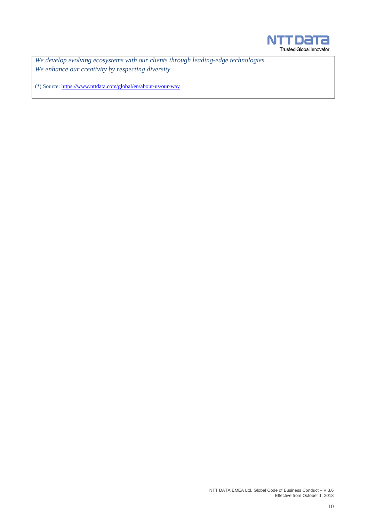

*We develop evolving ecosystems with our clients through leading-edge technologies. We enhance our creativity by respecting diversity.*

(\*) Source:<https://www.nttdata.com/global/en/about-us/our-way>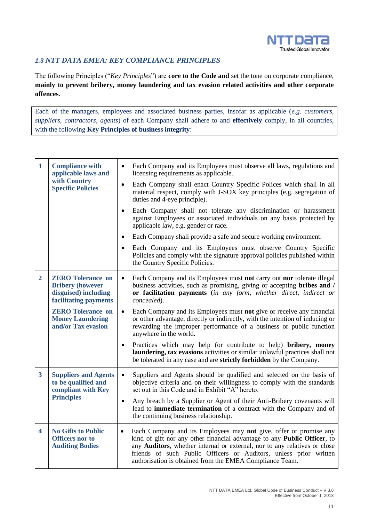

## <span id="page-10-0"></span>*1.3 NTT DATA EMEA: KEY COMPLIANCE PRINCIPLES*

The following Principles ("*Key Principles*") are **core to the Code and** set the tone on corporate compliance, **mainly to prevent bribery, money laundering and tax evasion related activities and other corporate offences**.

Each of the managers, employees and associated business parties, insofar as applicable (*e.g. customers, suppliers, contractors, agents*) of each Company shall adhere to and **effectively** comply, in all countries, with the following **Key Principles of business integrity**:

| $\mathbf{1}$                                  | <b>Compliance with</b><br>applicable laws and                                                        | Each Company and its Employees must observe all laws, regulations and<br>$\bullet$<br>licensing requirements as applicable.                                                                                                                                                                                                                                              |
|-----------------------------------------------|------------------------------------------------------------------------------------------------------|--------------------------------------------------------------------------------------------------------------------------------------------------------------------------------------------------------------------------------------------------------------------------------------------------------------------------------------------------------------------------|
|                                               | with Country<br><b>Specific Policies</b>                                                             | Each Company shall enact Country Specific Polices which shall in all<br>$\bullet$<br>material respect, comply with J-SOX key principles (e.g. segregation of<br>duties and 4-eye principle).                                                                                                                                                                             |
|                                               |                                                                                                      | Each Company shall not tolerate any discrimination or harassment<br>$\bullet$<br>against Employees or associated individuals on any basis protected by<br>applicable law, e.g. gender or race.                                                                                                                                                                           |
|                                               |                                                                                                      | Each Company shall provide a safe and secure working environment.<br>$\bullet$                                                                                                                                                                                                                                                                                           |
|                                               |                                                                                                      | Each Company and its Employees must observe Country Specific<br>Policies and comply with the signature approval policies published within<br>the Country Specific Policies.                                                                                                                                                                                              |
| $\mathbf{2}$                                  | <b>ZERO Tolerance on</b><br><b>Bribery (however</b><br>disguised) including<br>facilitating payments | Each Company and its Employees must not carry out nor tolerate illegal<br>$\bullet$<br>business activities, such as promising, giving or accepting bribes and /<br>or facilitation payments (in any form, whether direct, indirect or<br>concealed).                                                                                                                     |
| <b>Money Laundering</b><br>and/or Tax evasion | <b>ZERO Tolerance on</b>                                                                             | Each Company and its Employees must not give or receive any financial<br>$\bullet$<br>or other advantage, directly or indirectly, with the intention of inducing or<br>rewarding the improper performance of a business or public function<br>anywhere in the world.                                                                                                     |
|                                               |                                                                                                      | Practices which may help (or contribute to help) bribery, money<br>laundering, tax evasions activities or similar unlawful practices shall not<br>be tolerated in any case and are <b>strictly forbidden</b> by the Company.                                                                                                                                             |
| $\overline{\mathbf{3}}$                       | <b>Suppliers and Agents</b><br>to be qualified and<br>compliant with Key                             | Suppliers and Agents should be qualified and selected on the basis of<br>$\bullet$<br>objective criteria and on their willingness to comply with the standards<br>set out in this Code and in Exhibit "A" hereto.                                                                                                                                                        |
|                                               | <b>Principles</b>                                                                                    | Any breach by a Supplier or Agent of their Anti-Bribery covenants will<br>$\bullet$<br>lead to <b>immediate termination</b> of a contract with the Company and of<br>the continuing business relationship.                                                                                                                                                               |
| 4                                             | <b>No Gifts to Public</b><br><b>Officers</b> nor to<br><b>Auditing Bodies</b>                        | Each Company and its Employees may not give, offer or promise any<br>$\bullet$<br>kind of gift nor any other financial advantage to any Public Officer, to<br>any Auditors, whether internal or external, nor to any relatives or close<br>friends of such Public Officers or Auditors, unless prior written<br>authorisation is obtained from the EMEA Compliance Team. |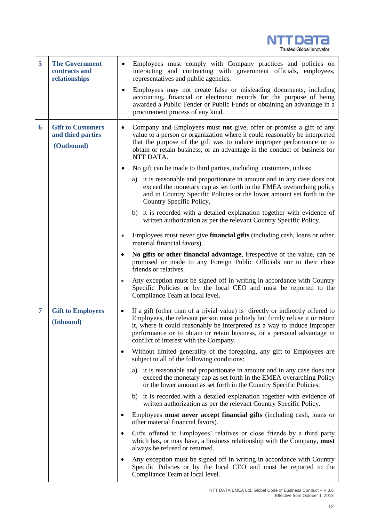

| 5 | <b>The Government</b><br>contracts and<br>relationships     | Employees must comply with Company practices and policies on<br>$\bullet$<br>interacting and contracting with government officials, employees,<br>representatives and public agencies.                                                                                                                                                                              |  |  |
|---|-------------------------------------------------------------|---------------------------------------------------------------------------------------------------------------------------------------------------------------------------------------------------------------------------------------------------------------------------------------------------------------------------------------------------------------------|--|--|
|   |                                                             | Employees may not create false or misleading documents, including<br>$\bullet$<br>accounting, financial or electronic records for the purpose of being<br>awarded a Public Tender or Public Funds or obtaining an advantage in a<br>procurement process of any kind.                                                                                                |  |  |
| 6 | <b>Gift to Customers</b><br>and third parties<br>(Outbound) | Company and Employees must not give, offer or promise a gift of any<br>٠<br>value to a person or organization where it could reasonably be interpreted<br>that the purpose of the gift was to induce improper performance or to<br>obtain or retain business, or an advantage in the conduct of business for<br>NTT DATA.                                           |  |  |
|   |                                                             | No gift can be made to third parties, including customers, unless:<br>٠                                                                                                                                                                                                                                                                                             |  |  |
|   |                                                             | a) it is reasonable and proportionate in amount and in any case does not<br>exceed the monetary cap as set forth in the EMEA overarching policy<br>and in Country Specific Policies or the lower amount set forth in the<br>Country Specific Policy,                                                                                                                |  |  |
|   |                                                             | b) it is recorded with a detailed explanation together with evidence of<br>written authorization as per the relevant Country Specific Policy.                                                                                                                                                                                                                       |  |  |
|   |                                                             | Employees must never give <b>financial gifts</b> (including cash, loans or other<br>$\bullet$<br>material financial favors).                                                                                                                                                                                                                                        |  |  |
|   |                                                             | No gifts or other financial advantage, irrespective of the value, can be<br>٠<br>promised or made to any Foreign Public Officials nor to their close<br>friends or relatives.                                                                                                                                                                                       |  |  |
|   |                                                             | Any exception must be signed off in writing in accordance with Country<br>$\bullet$<br>Specific Policies or by the local CEO and must be reported to the<br>Compliance Team at local level.                                                                                                                                                                         |  |  |
| 7 | <b>Gift to Employees</b><br>(Inbound)                       | If a gift (other than of a trivial value) is directly or indirectly offered to<br>٠<br>Employees, the relevant person must politely but firmly refuse it or return<br>it, where it could reasonably be interpreted as a way to induce improper<br>performance or to obtain or retain business, or a personal advantage in<br>conflict of interest with the Company. |  |  |
|   |                                                             | Without limited generality of the foregoing, any gift to Employees are<br>٠<br>subject to all of the following conditions:                                                                                                                                                                                                                                          |  |  |
|   |                                                             | it is reasonable and proportionate in amount and in any case does not<br>a)<br>exceed the monetary cap as set forth in the EMEA overarching Policy<br>or the lower amount as set forth in the Country Specific Policies,                                                                                                                                            |  |  |
|   |                                                             | b) it is recorded with a detailed explanation together with evidence of<br>written authorization as per the relevant Country Specific Policy.                                                                                                                                                                                                                       |  |  |
|   |                                                             | Employees must never accept financial gifts (including cash, loans or<br>٠<br>other material financial favors).                                                                                                                                                                                                                                                     |  |  |
|   |                                                             | Gifts offered to Employees' relatives or close friends by a third party<br>$\bullet$<br>which has, or may have, a business relationship with the Company, must<br>always be refused or returned.                                                                                                                                                                    |  |  |
|   |                                                             | Any exception must be signed off in writing in accordance with Country<br>٠<br>Specific Policies or by the local CEO and must be reported to the<br>Compliance Team at local level.                                                                                                                                                                                 |  |  |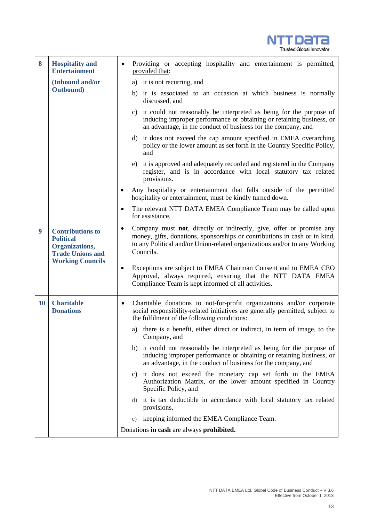

| 8                | <b>Hospitality and</b><br><b>Entertainment</b>                                                                      | Providing or accepting hospitality and entertainment is permitted,<br>provided that:                                                                                                                               |                                                                                                                                                                                                                                                                                                                                                                                                                                                   |  |
|------------------|---------------------------------------------------------------------------------------------------------------------|--------------------------------------------------------------------------------------------------------------------------------------------------------------------------------------------------------------------|---------------------------------------------------------------------------------------------------------------------------------------------------------------------------------------------------------------------------------------------------------------------------------------------------------------------------------------------------------------------------------------------------------------------------------------------------|--|
|                  | (Inbound and/or                                                                                                     | a) it is not recurring, and                                                                                                                                                                                        |                                                                                                                                                                                                                                                                                                                                                                                                                                                   |  |
|                  | <b>Outbound</b> )                                                                                                   |                                                                                                                                                                                                                    | b) it is associated to an occasion at which business is normally<br>discussed, and                                                                                                                                                                                                                                                                                                                                                                |  |
|                  |                                                                                                                     |                                                                                                                                                                                                                    | c) it could not reasonably be interpreted as being for the purpose of<br>inducing improper performance or obtaining or retaining business, or<br>an advantage, in the conduct of business for the company, and                                                                                                                                                                                                                                    |  |
|                  |                                                                                                                     |                                                                                                                                                                                                                    | d) it does not exceed the cap amount specified in EMEA overarching<br>policy or the lower amount as set forth in the Country Specific Policy,<br>and                                                                                                                                                                                                                                                                                              |  |
|                  |                                                                                                                     |                                                                                                                                                                                                                    | it is approved and adequately recorded and registered in the Company<br>e)<br>register, and is in accordance with local statutory tax related<br>provisions.                                                                                                                                                                                                                                                                                      |  |
|                  |                                                                                                                     |                                                                                                                                                                                                                    | Any hospitality or entertainment that falls outside of the permitted<br>hospitality or entertainment, must be kindly turned down.                                                                                                                                                                                                                                                                                                                 |  |
|                  |                                                                                                                     | The relevant NTT DATA EMEA Compliance Team may be called upon<br>٠<br>for assistance.                                                                                                                              |                                                                                                                                                                                                                                                                                                                                                                                                                                                   |  |
| $\boldsymbol{9}$ | <b>Contributions to</b><br><b>Political</b><br>Organizations,<br><b>Trade Unions and</b><br><b>Working Councils</b> | $\bullet$                                                                                                                                                                                                          | Company must not, directly or indirectly, give, offer or promise any<br>money, gifts, donations, sponsorships or contributions in cash or in kind,<br>to any Political and/or Union-related organizations and/or to any Working<br>Councils.<br>Exceptions are subject to EMEA Chairman Consent and to EMEA CEO<br>$\bullet$<br>Approval, always required, ensuring that the NTT DATA EMEA<br>Compliance Team is kept informed of all activities. |  |
|                  |                                                                                                                     |                                                                                                                                                                                                                    |                                                                                                                                                                                                                                                                                                                                                                                                                                                   |  |
| <b>10</b>        | <b>Charitable</b><br><b>Donations</b>                                                                               | Charitable donations to not-for-profit organizations and/or corporate<br>$\bullet$<br>social responsibility-related initiatives are generally permitted, subject to<br>the fulfilment of the following conditions: |                                                                                                                                                                                                                                                                                                                                                                                                                                                   |  |
|                  |                                                                                                                     |                                                                                                                                                                                                                    | a) there is a benefit, either direct or indirect, in term of image, to the<br>Company, and                                                                                                                                                                                                                                                                                                                                                        |  |
|                  |                                                                                                                     |                                                                                                                                                                                                                    | it could not reasonably be interpreted as being for the purpose of<br>b)<br>inducing improper performance or obtaining or retaining business, or<br>an advantage, in the conduct of business for the company, and                                                                                                                                                                                                                                 |  |
|                  |                                                                                                                     | c) it does not exceed the monetary cap set forth in the EMEA<br>Authorization Matrix, or the lower amount specified in Country<br>Specific Policy, and                                                             |                                                                                                                                                                                                                                                                                                                                                                                                                                                   |  |
|                  |                                                                                                                     |                                                                                                                                                                                                                    | it is tax deductible in accordance with local statutory tax related<br>d)<br>provisions,                                                                                                                                                                                                                                                                                                                                                          |  |
|                  |                                                                                                                     |                                                                                                                                                                                                                    | keeping informed the EMEA Compliance Team.<br>e)                                                                                                                                                                                                                                                                                                                                                                                                  |  |
|                  |                                                                                                                     | Donations in cash are always prohibited.                                                                                                                                                                           |                                                                                                                                                                                                                                                                                                                                                                                                                                                   |  |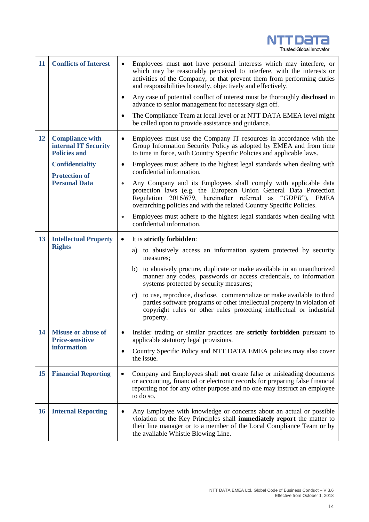

| 11                                                         | <b>Conflicts of Interest</b>                                                                                                                    | Employees must not have personal interests which may interfere, or<br>which may be reasonably perceived to interfere, with the interests or<br>activities of the Company, or that prevent them from performing duties<br>and responsibilities honestly, objectively and effectively.<br>Any case of potential conflict of interest must be thoroughly <b>disclosed</b> in<br>$\bullet$<br>advance to senior management for necessary sign off.<br>The Compliance Team at local level or at NTT DATA EMEA level might                                                                                                                                                                                                                                                                         |  |  |
|------------------------------------------------------------|-------------------------------------------------------------------------------------------------------------------------------------------------|----------------------------------------------------------------------------------------------------------------------------------------------------------------------------------------------------------------------------------------------------------------------------------------------------------------------------------------------------------------------------------------------------------------------------------------------------------------------------------------------------------------------------------------------------------------------------------------------------------------------------------------------------------------------------------------------------------------------------------------------------------------------------------------------|--|--|
| 12                                                         | <b>Compliance with</b><br>internal IT Security<br><b>Policies and</b><br><b>Confidentiality</b><br><b>Protection of</b><br><b>Personal Data</b> | be called upon to provide assistance and guidance.<br>Employees must use the Company IT resources in accordance with the<br>$\bullet$<br>Group Information Security Policy as adopted by EMEA and from time<br>to time in force, with Country Specific Policies and applicable laws.<br>Employees must adhere to the highest legal standards when dealing with<br>$\bullet$<br>confidential information.<br>Any Company and its Employees shall comply with applicable data<br>protection laws (e.g. the European Union General Data Protection<br>Regulation 2016/679, hereinafter referred as "GDPR"), EMEA<br>overarching policies and with the related Country Specific Policies.<br>Employees must adhere to the highest legal standards when dealing with<br>confidential information. |  |  |
| <b>13</b><br><b>Intellectual Property</b><br><b>Rights</b> |                                                                                                                                                 | It is strictly forbidden:<br>٠<br>a) to abusively access an information system protected by security<br>measures:<br>to abusively procure, duplicate or make available in an unauthorized<br>b)<br>manner any codes, passwords or access credentials, to information<br>systems protected by security measures;<br>c) to use, reproduce, disclose, commercialize or make available to third<br>parties software programs or other intellectual property in violation of<br>copyright rules or other rules protecting intellectual or industrial<br>property.                                                                                                                                                                                                                                 |  |  |
|                                                            | 14   Misuse or abuse of<br><b>Price-sensitive</b><br><b>information</b>                                                                         | Insider trading or similar practices are <b>strictly forbidden</b> pursuant to<br>applicable statutory legal provisions.<br>Country Specific Policy and NTT DATA EMEA policies may also cover<br>the issue.                                                                                                                                                                                                                                                                                                                                                                                                                                                                                                                                                                                  |  |  |
| 15                                                         | <b>Financial Reporting</b>                                                                                                                      | Company and Employees shall not create false or misleading documents<br>or accounting, financial or electronic records for preparing false financial<br>reporting nor for any other purpose and no one may instruct an employee<br>to do so.                                                                                                                                                                                                                                                                                                                                                                                                                                                                                                                                                 |  |  |
| <b>16</b>                                                  | <b>Internal Reporting</b>                                                                                                                       | Any Employee with knowledge or concerns about an actual or possible<br>violation of the Key Principles shall immediately report the matter to<br>their line manager or to a member of the Local Compliance Team or by<br>the available Whistle Blowing Line.                                                                                                                                                                                                                                                                                                                                                                                                                                                                                                                                 |  |  |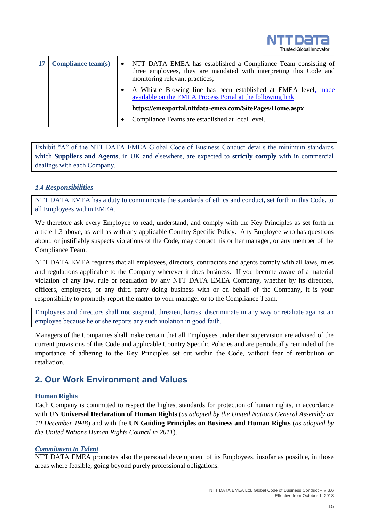

| 17 | <b>Compliance team(s)</b> | • NTT DATA EMEA has established a Compliance Team consisting of<br>three employees, they are mandated with interpreting this Code and<br>monitoring relevant practices; |  |
|----|---------------------------|-------------------------------------------------------------------------------------------------------------------------------------------------------------------------|--|
|    |                           | • A Whistle Blowing line has been established at EMEA level, made<br>available on the EMEA Process Portal at the following link                                         |  |
|    |                           | https://emeaportal.nttdata-emea.com/SitePages/Home.aspx                                                                                                                 |  |
|    |                           | Compliance Teams are established at local level.                                                                                                                        |  |

Exhibit "A" of the NTT DATA EMEA Global Code of Business Conduct details the minimum standards which **Suppliers and Agents**, in UK and elsewhere, are expected to **strictly comply** with in commercial dealings with each Company.

### <span id="page-14-0"></span>*1.4 Responsibilities*

NTT DATA EMEA has a duty to communicate the standards of ethics and conduct, set forth in this Code, to all Employees within EMEA.

We therefore ask every Employee to read, understand, and comply with the Key Principles as set forth in article 1.3 above, as well as with any applicable Country Specific Policy. Any Employee who has questions about, or justifiably suspects violations of the Code, may contact his or her manager, or any member of the Compliance Team.

NTT DATA EMEA requires that all employees, directors, contractors and agents comply with all laws, rules and regulations applicable to the Company wherever it does business. If you become aware of a material violation of any law, rule or regulation by any NTT DATA EMEA Company, whether by its directors, officers, employees, or any third party doing business with or on behalf of the Company, it is your responsibility to promptly report the matter to your manager or to the Compliance Team.

Employees and directors shall **not** suspend, threaten, harass, discriminate in any way or retaliate against an employee because he or she reports any such violation in good faith.

Managers of the Companies shall make certain that all Employees under their supervision are advised of the current provisions of this Code and applicable Country Specific Policies and are periodically reminded of the importance of adhering to the Key Principles set out within the Code, without fear of retribution or retaliation.

## <span id="page-14-1"></span>**2. Our Work Environment and Values**

### **Human Rights**

Each Company is committed to respect the highest standards for protection of human rights, in accordance with **UN Universal Declaration of Human Rights** (*as adopted by the United Nations General Assembly on 10 December 1948*) and with the **UN Guiding Principles on Business and Human Rights** (*as adopted by the United Nations Human Rights Council in 2011*).

### *Commitment to Talent*

NTT DATA EMEA promotes also the personal development of its Employees, insofar as possible, in those areas where feasible, going beyond purely professional obligations.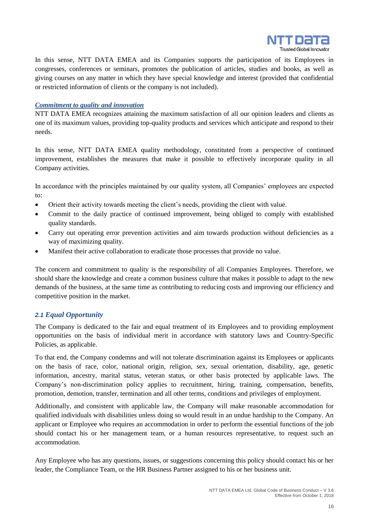

In this sense, NTT DATA EMEA and its Companies supports the participation of its Employees in congresses, conferences or seminars, promotes the publication of articles, studies and books, as well as giving courses on any matter in which they have special knowledge and interest (provided that confidential or restricted information of clients or the company is not included).

#### *Commitment to quality and innovation*

NTT DATA EMEA recognizes attaining the maximum satisfaction of all our opinion leaders and clients as one of its maximum values, providing top-quality products and services which anticipate and respond to their needs.

In this sense, NTT DATA EMEA quality methodology, constituted from a perspective of continued improvement, establishes the measures that make it possible to effectively incorporate quality in all Company activities.

In accordance with the principles maintained by our quality system, all Companies' employees are expected to:

- Orient their activity towards meeting the client's needs, providing the client with value.
- Commit to the daily practice of continued improvement, being obliged to comply with established quality standards.
- Carry out operating error prevention activities and aim towards production without deficiencies as a way of maximizing quality.
- Manifest their active collaboration to eradicate those processes that provide no value.

The concern and commitment to quality is the responsibility of all Companies Employees. Therefore, we should share the knowledge and create a common business culture that makes it possible to adapt to the new demands of the business, at the same time as contributing to reducing costs and improving our efficiency and competitive position in the market.

### <span id="page-15-0"></span>*2.1 Equal Opportunity*

The Company is dedicated to the fair and equal treatment of its Employees and to providing employment opportunities on the basis of individual merit in accordance with statutory laws and Country-Specific Policies, as applicable.

To that end, the Company condemns and will not tolerate discrimination against its Employees or applicants on the basis of race, color, national origin, religion, sex, sexual orientation, disability, age, genetic information, ancestry, marital status, veteran status, or other basis protected by applicable laws. The Company's non-discrimination policy applies to recruitment, hiring, training, compensation, benefits, promotion, demotion, transfer, termination and all other terms, conditions and privileges of employment.

Additionally, and consistent with applicable law, the Company will make reasonable accommodation for qualified individuals with disabilities unless doing so would result in an undue hardship to the Company. An applicant or Employee who requires an accommodation in order to perform the essential functions of the job should contact his or her management team, or a human resources representative, to request such an accommodation.

Any Employee who has any questions, issues, or suggestions concerning this policy should contact his or her leader, the Compliance Team, or the HR Business Partner assigned to his or her business unit.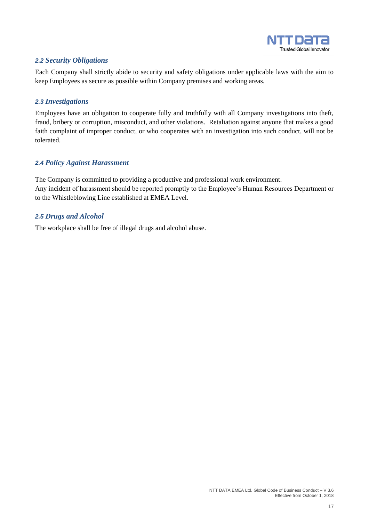

## <span id="page-16-0"></span>*2.2 Security Obligations*

Each Company shall strictly abide to security and safety obligations under applicable laws with the aim to keep Employees as secure as possible within Company premises and working areas.

### <span id="page-16-1"></span>*2.3 Investigations*

Employees have an obligation to cooperate fully and truthfully with all Company investigations into theft, fraud, bribery or corruption, misconduct, and other violations. Retaliation against anyone that makes a good faith complaint of improper conduct, or who cooperates with an investigation into such conduct, will not be tolerated.

## <span id="page-16-2"></span>*2.4 Policy Against Harassment*

The Company is committed to providing a productive and professional work environment. Any incident of harassment should be reported promptly to the Employee's Human Resources Department or to the Whistleblowing Line established at EMEA Level.

### <span id="page-16-3"></span>*2.5 Drugs and Alcohol*

The workplace shall be free of illegal drugs and alcohol abuse.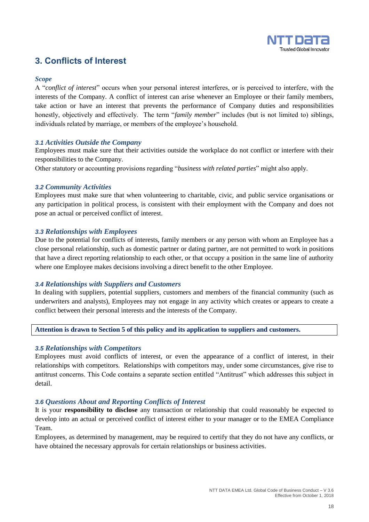

## <span id="page-17-0"></span>**3. Conflicts of Interest**

#### *Scope*

A "*conflict of interest*" occurs when your personal interest interferes, or is perceived to interfere, with the interests of the Company. A conflict of interest can arise whenever an Employee or their family members, take action or have an interest that prevents the performance of Company duties and responsibilities honestly, objectively and effectively. The term "*family member*" includes (but is not limited to) siblings, individuals related by marriage, or members of the employee's household.

#### <span id="page-17-1"></span>*3.1 Activities Outside the Company*

Employees must make sure that their activities outside the workplace do not conflict or interfere with their responsibilities to the Company.

Other statutory or accounting provisions regarding "*business with related parties*" might also apply.

#### <span id="page-17-2"></span>*3.2 Community Activities*

Employees must make sure that when volunteering to charitable, civic, and public service organisations or any participation in political process, is consistent with their employment with the Company and does not pose an actual or perceived conflict of interest.

#### <span id="page-17-3"></span>*3.3 Relationships with Employees*

Due to the potential for conflicts of interests, family members or any person with whom an Employee has a close personal relationship, such as domestic partner or dating partner, are not permitted to work in positions that have a direct reporting relationship to each other, or that occupy a position in the same line of authority where one Employee makes decisions involving a direct benefit to the other Employee.

#### <span id="page-17-4"></span>*3.4 Relationships with Suppliers and Customers*

In dealing with suppliers, potential suppliers, customers and members of the financial community (such as underwriters and analysts), Employees may not engage in any activity which creates or appears to create a conflict between their personal interests and the interests of the Company.

#### **Attention is drawn to Section 5 of this policy and its application to suppliers and customers.**

#### <span id="page-17-5"></span>*3.5 Relationships with Competitors*

Employees must avoid conflicts of interest, or even the appearance of a conflict of interest, in their relationships with competitors. Relationships with competitors may, under some circumstances, give rise to antitrust concerns. This Code contains a separate section entitled "Antitrust" which addresses this subject in detail.

#### <span id="page-17-6"></span>*3.6 Questions About and Reporting Conflicts of Interest*

It is your **responsibility to disclose** any transaction or relationship that could reasonably be expected to develop into an actual or perceived conflict of interest either to your manager or to the EMEA Compliance Team.

Employees, as determined by management, may be required to certify that they do not have any conflicts, or have obtained the necessary approvals for certain relationships or business activities.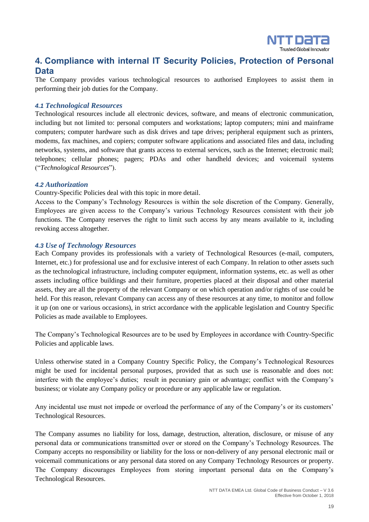

## <span id="page-18-0"></span>**4. Compliance with internal IT Security Policies, Protection of Personal Data**

The Company provides various technological resources to authorised Employees to assist them in performing their job duties for the Company.

#### <span id="page-18-1"></span>*4.1 Technological Resources*

Technological resources include all electronic devices, software, and means of electronic communication, including but not limited to: personal computers and workstations; laptop computers; mini and mainframe computers; computer hardware such as disk drives and tape drives; peripheral equipment such as printers, modems, fax machines, and copiers; computer software applications and associated files and data, including networks, systems, and software that grants access to external services, such as the Internet; electronic mail; telephones; cellular phones; pagers; PDAs and other handheld devices; and voicemail systems ("*Technological Resources*").

#### <span id="page-18-2"></span>*4.2 Authorization*

Country-Specific Policies deal with this topic in more detail.

Access to the Company's Technology Resources is within the sole discretion of the Company. Generally, Employees are given access to the Company's various Technology Resources consistent with their job functions. The Company reserves the right to limit such access by any means available to it, including revoking access altogether.

### <span id="page-18-3"></span>*4.3 Use of Technology Resources*

Each Company provides its professionals with a variety of Technological Resources (e-mail, computers, Internet, etc.) for professional use and for exclusive interest of each Company. In relation to other assets such as the technological infrastructure, including computer equipment, information systems, etc. as well as other assets including office buildings and their furniture, properties placed at their disposal and other material assets, they are all the property of the relevant Company or on which operation and/or rights of use could be held. For this reason, relevant Company can access any of these resources at any time, to monitor and follow it up (on one or various occasions), in strict accordance with the applicable legislation and Country Specific Policies as made available to Employees.

The Company's Technological Resources are to be used by Employees in accordance with Country-Specific Policies and applicable laws.

Unless otherwise stated in a Company Country Specific Policy, the Company's Technological Resources might be used for incidental personal purposes, provided that as such use is reasonable and does not: interfere with the employee's duties; result in pecuniary gain or advantage; conflict with the Company's business; or violate any Company policy or procedure or any applicable law or regulation.

Any incidental use must not impede or overload the performance of any of the Company's or its customers' Technological Resources.

The Company assumes no liability for loss, damage, destruction, alteration, disclosure, or misuse of any personal data or communications transmitted over or stored on the Company's Technology Resources. The Company accepts no responsibility or liability for the loss or non-delivery of any personal electronic mail or voicemail communications or any personal data stored on any Company Technology Resources or property. The Company discourages Employees from storing important personal data on the Company's Technological Resources.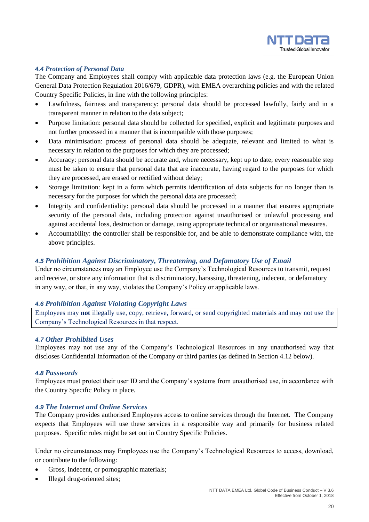

#### <span id="page-19-0"></span>*4.4 Protection of Personal Data*

The Company and Employees shall comply with applicable data protection laws (e.g. the European Union General Data Protection Regulation 2016/679, GDPR), with EMEA overarching policies and with the related Country Specific Policies, in line with the following principles:

- Lawfulness, fairness and transparency: personal data should be processed lawfully, fairly and in a transparent manner in relation to the data subject;
- Purpose limitation: personal data should be collected for specified, explicit and legitimate purposes and not further processed in a manner that is incompatible with those purposes;
- Data minimisation: process of personal data should be adequate, relevant and limited to what is necessary in relation to the purposes for which they are processed;
- Accuracy: personal data should be accurate and, where necessary, kept up to date; every reasonable step must be taken to ensure that personal data that are inaccurate, having regard to the purposes for which they are processed, are erased or rectified without delay;
- Storage limitation: kept in a form which permits identification of data subjects for no longer than is necessary for the purposes for which the personal data are processed;
- Integrity and confidentiality: personal data should be processed in a manner that ensures appropriate security of the personal data, including protection against unauthorised or unlawful processing and against accidental loss, destruction or damage, using appropriate technical or organisational measures.
- Accountability: the controller shall be responsible for, and be able to demonstrate compliance with, the above principles.

#### <span id="page-19-1"></span>*4.5 Prohibition Against Discriminatory, Threatening, and Defamatory Use of Email*

Under no circumstances may an Employee use the Company's Technological Resources to transmit, request and receive, or store any information that is discriminatory, harassing, threatening, indecent, or defamatory in any way, or that, in any way, violates the Company's Policy or applicable laws.

#### <span id="page-19-2"></span>*4.6 Prohibition Against Violating Copyright Laws*

Employees may **not** illegally use, copy, retrieve, forward, or send copyrighted materials and may not use the Company's Technological Resources in that respect.

#### <span id="page-19-3"></span>*4.7 Other Prohibited Uses*

Employees may not use any of the Company's Technological Resources in any unauthorised way that discloses Confidential Information of the Company or third parties (as defined in Section 4.12 below).

#### <span id="page-19-4"></span>*4.8 Passwords*

Employees must protect their user ID and the Company's systems from unauthorised use, in accordance with the Country Specific Policy in place.

### <span id="page-19-5"></span>*4.9 The Internet and Online Services*

The Company provides authorised Employees access to online services through the Internet. The Company expects that Employees will use these services in a responsible way and primarily for business related purposes. Specific rules might be set out in Country Specific Policies.

Under no circumstances may Employees use the Company's Technological Resources to access, download, or contribute to the following:

- Gross, indecent, or pornographic materials;
- Illegal drug-oriented sites;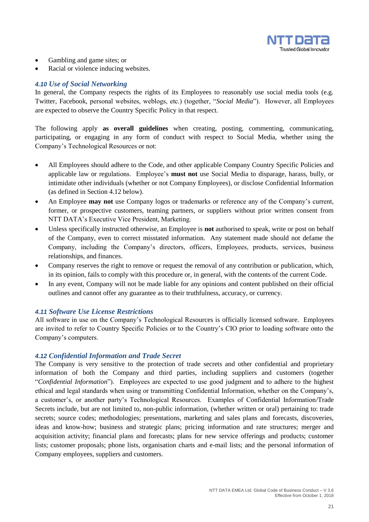

- Gambling and game sites; or
- Racial or violence inducing websites.

### <span id="page-20-0"></span>*4.10 Use of Social Networking*

In general, the Company respects the rights of its Employees to reasonably use social media tools (e.g. Twitter, Facebook, personal websites, weblogs, etc.) (together, "*Social Media*"). However, all Employees are expected to observe the Country Specific Policy in that respect.

The following apply **as overall guidelines** when creating, posting, commenting, communicating, participating, or engaging in any form of conduct with respect to Social Media, whether using the Company's Technological Resources or not:

- All Employees should adhere to the Code, and other applicable Company Country Specific Policies and applicable law or regulations. Employee's **must not** use Social Media to disparage, harass, bully, or intimidate other individuals (whether or not Company Employees), or disclose Confidential Information (as defined in Section 4.12 below).
- An Employee **may not** use Company logos or trademarks or reference any of the Company's current, former, or prospective customers, teaming partners, or suppliers without prior written consent from NTT DATA's Executive Vice President, Marketing.
- Unless specifically instructed otherwise, an Employee is **not** authorised to speak, write or post on behalf of the Company, even to correct misstated information. Any statement made should not defame the Company, including the Company's directors, officers, Employees, products, services, business relationships, and finances.
- Company reserves the right to remove or request the removal of any contribution or publication, which, in its opinion, fails to comply with this procedure or, in general, with the contents of the current Code.
- In any event, Company will not be made liable for any opinions and content published on their official outlines and cannot offer any guarantee as to their truthfulness, accuracy, or currency.

#### <span id="page-20-1"></span>*4.11 Software Use License Restrictions*

All software in use on the Company's Technological Resources is officially licensed software. Employees are invited to refer to Country Specific Policies or to the Country's CIO prior to loading software onto the Company's computers.

#### <span id="page-20-2"></span>*4.12 Confidential Information and Trade Secret*

The Company is very sensitive to the protection of trade secrets and other confidential and proprietary information of both the Company and third parties, including suppliers and customers (together "*Confidential Information*"). Employees are expected to use good judgment and to adhere to the highest ethical and legal standards when using or transmitting Confidential Information, whether on the Company's, a customer's, or another party's Technological Resources. Examples of Confidential Information/Trade Secrets include, but are not limited to, non-public information, (whether written or oral) pertaining to: trade secrets; source codes; methodologies; presentations, marketing and sales plans and forecasts, discoveries, ideas and know-how; business and strategic plans; pricing information and rate structures; merger and acquisition activity; financial plans and forecasts; plans for new service offerings and products; customer lists; customer proposals; phone lists, organisation charts and e-mail lists; and the personal information of Company employees, suppliers and customers.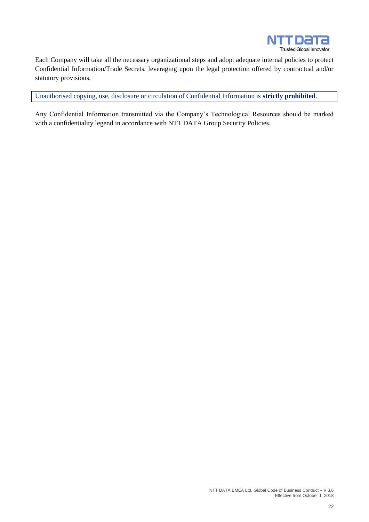

Each Company will take all the necessary organizational steps and adopt adequate internal policies to protect Confidential Information/Trade Secrets, leveraging upon the legal protection offered by contractual and/or statutory provisions.

Unauthorised copying, use, disclosure or circulation of Confidential Information is **strictly prohibited**.

Any Confidential Information transmitted via the Company's Technological Resources should be marked with a confidentiality legend in accordance with NTT DATA Group Security Policies.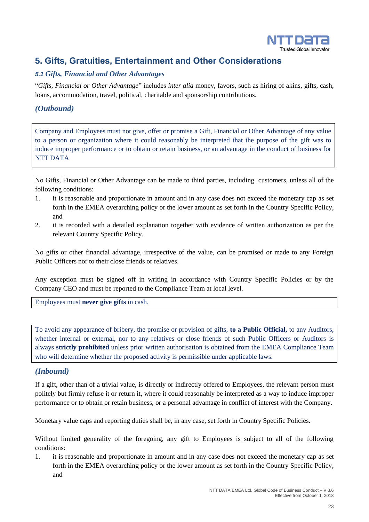

## <span id="page-22-0"></span>**5. Gifts, Gratuities, Entertainment and Other Considerations**

## <span id="page-22-1"></span>*5.1 Gifts, Financial and Other Advantages*

"*Gifts, Financial or Other Advantage*" includes *inter alia* money, favors, such as hiring of akins, gifts, cash, loans, accommodation, travel, political, charitable and sponsorship contributions.

## *(Outbound)*

Company and Employees must not give, offer or promise a Gift, Financial or Other Advantage of any value to a person or organization where it could reasonably be interpreted that the purpose of the gift was to induce improper performance or to obtain or retain business, or an advantage in the conduct of business for NTT DATA

No Gifts, Financial or Other Advantage can be made to third parties, including customers, unless all of the following conditions:

- 1. it is reasonable and proportionate in amount and in any case does not exceed the monetary cap as set forth in the EMEA overarching policy or the lower amount as set forth in the Country Specific Policy, and
- 2. it is recorded with a detailed explanation together with evidence of written authorization as per the relevant Country Specific Policy.

No gifts or other financial advantage, irrespective of the value, can be promised or made to any Foreign Public Officers nor to their close friends or relatives.

Any exception must be signed off in writing in accordance with Country Specific Policies or by the Company CEO and must be reported to the Compliance Team at local level.

Employees must **never give gifts** in cash.

To avoid any appearance of bribery, the promise or provision of gifts, **to a Public Official,** to any Auditors, whether internal or external, nor to any relatives or close friends of such Public Officers or Auditors is always **strictly prohibited** unless prior written authorisation is obtained from the EMEA Compliance Team who will determine whether the proposed activity is permissible under applicable laws.

## *(Inbound)*

If a gift, other than of a trivial value, is directly or indirectly offered to Employees, the relevant person must politely but firmly refuse it or return it, where it could reasonably be interpreted as a way to induce improper performance or to obtain or retain business, or a personal advantage in conflict of interest with the Company.

Monetary value caps and reporting duties shall be, in any case, set forth in Country Specific Policies.

Without limited generality of the foregoing, any gift to Employees is subject to all of the following conditions:

1. it is reasonable and proportionate in amount and in any case does not exceed the monetary cap as set forth in the EMEA overarching policy or the lower amount as set forth in the Country Specific Policy, and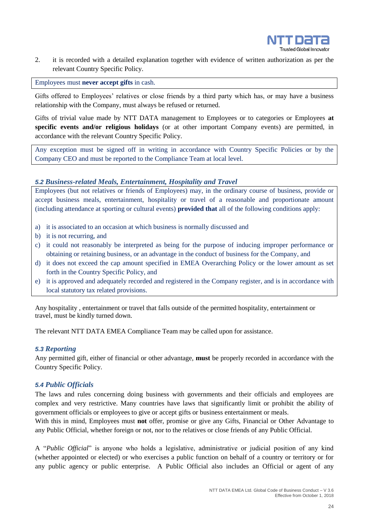

2. it is recorded with a detailed explanation together with evidence of written authorization as per the relevant Country Specific Policy.

Employees must **never accept gifts** in cash.

Gifts offered to Employees' relatives or close friends by a third party which has, or may have a business relationship with the Company, must always be refused or returned.

Gifts of trivial value made by NTT DATA management to Employees or to categories or Employees **at specific events and/or religious holidays** (or at other important Company events) are permitted, in accordance with the relevant Country Specific Policy.

Any exception must be signed off in writing in accordance with Country Specific Policies or by the Company CEO and must be reported to the Compliance Team at local level.

### <span id="page-23-0"></span>*5.2 Business-related Meals, Entertainment, Hospitality and Travel*

Employees (but not relatives or friends of Employees) may, in the ordinary course of business, provide or accept business meals, entertainment, hospitality or travel of a reasonable and proportionate amount (including attendance at sporting or cultural events) **provided that** all of the following conditions apply:

- a) it is associated to an occasion at which business is normally discussed and
- b) it is not recurring, and
- c) it could not reasonably be interpreted as being for the purpose of inducing improper performance or obtaining or retaining business, or an advantage in the conduct of business for the Company, and
- d) it does not exceed the cap amount specified in EMEA Overarching Policy or the lower amount as set forth in the Country Specific Policy, and
- e) it is approved and adequately recorded and registered in the Company register, and is in accordance with local statutory tax related provisions.

Any hospitality , entertainment or travel that falls outside of the permitted hospitality, entertainment or travel, must be kindly turned down.

The relevant NTT DATA EMEA Compliance Team may be called upon for assistance.

#### <span id="page-23-1"></span>*5.3 Reporting*

Any permitted gift, either of financial or other advantage, **must** be properly recorded in accordance with the Country Specific Policy.

#### <span id="page-23-2"></span>*5.4 Public Officials*

The laws and rules concerning doing business with governments and their officials and employees are complex and very restrictive. Many countries have laws that significantly limit or prohibit the ability of government officials or employees to give or accept gifts or business entertainment or meals.

With this in mind, Employees must **not** offer, promise or give any Gifts, Financial or Other Advantage to any Public Official, whether foreign or not, nor to the relatives or close friends of any Public Official.

A "*Public Official*" is anyone who holds a legislative, administrative or judicial position of any kind (whether appointed or elected) or who exercises a public function on behalf of a country or territory or for any public agency or public enterprise. A Public Official also includes an Official or agent of any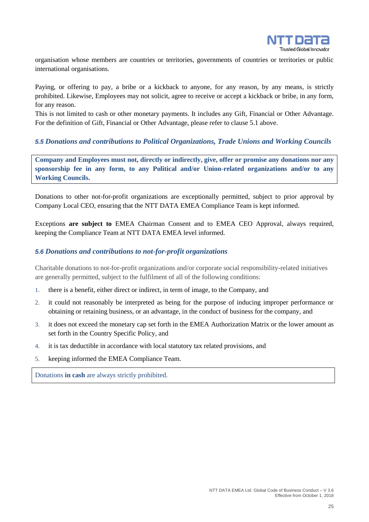

organisation whose members are countries or territories, governments of countries or territories or public international organisations.

Paying, or offering to pay, a bribe or a kickback to anyone, for any reason, by any means, is strictly prohibited. Likewise, Employees may not solicit, agree to receive or accept a kickback or bribe, in any form, for any reason.

This is not limited to cash or other monetary payments. It includes any Gift, Financial or Other Advantage. For the definition of Gift, Financial or Other Advantage, please refer to clause 5.1 above.

#### <span id="page-24-0"></span>*5.5 Donations and contributions to Political Organizations, Trade Unions and Working Councils*

**Company and Employees must not, directly or indirectly, give, offer or promise any donations nor any sponsorship fee in any form, to any Political and/or Union-related organizations and/or to any Working Councils.**

Donations to other not-for-profit organizations are exceptionally permitted, subject to prior approval by Company Local CEO, ensuring that the NTT DATA EMEA Compliance Team is kept informed.

Exceptions **are subject to** EMEA Chairman Consent and to EMEA CEO Approval, always required, keeping the Compliance Team at NTT DATA EMEA level informed.

#### <span id="page-24-1"></span>*5.6 Donations and contributions to not-for-profit organizations*

Charitable donations to not-for-profit organizations and/or corporate social responsibility-related initiatives are generally permitted, subject to the fulfilment of all of the following conditions:

- 1. there is a benefit, either direct or indirect, in term of image, to the Company, and
- 2. it could not reasonably be interpreted as being for the purpose of inducing improper performance or obtaining or retaining business, or an advantage, in the conduct of business for the company, and
- 3. it does not exceed the monetary cap set forth in the EMEA Authorization Matrix or the lower amount as set forth in the Country Specific Policy, and
- 4. it is tax deductible in accordance with local statutory tax related provisions, and
- 5. keeping informed the EMEA Compliance Team.

Donations **in cash** are always strictly prohibited.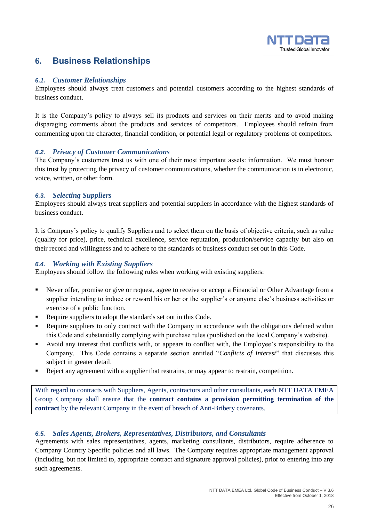

## <span id="page-25-0"></span>**6. Business Relationships**

### <span id="page-25-1"></span>*6.1. Customer Relationships*

Employees should always treat customers and potential customers according to the highest standards of business conduct.

It is the Company's policy to always sell its products and services on their merits and to avoid making disparaging comments about the products and services of competitors. Employees should refrain from commenting upon the character, financial condition, or potential legal or regulatory problems of competitors.

## <span id="page-25-2"></span>*6.2. Privacy of Customer Communications*

The Company's customers trust us with one of their most important assets: information. We must honour this trust by protecting the privacy of customer communications, whether the communication is in electronic, voice, written, or other form.

### <span id="page-25-3"></span>*6.3. Selecting Suppliers*

Employees should always treat suppliers and potential suppliers in accordance with the highest standards of business conduct.

It is Company's policy to qualify Suppliers and to select them on the basis of objective criteria, such as value (quality for price), price, technical excellence, service reputation, production/service capacity but also on their record and willingness and to adhere to the standards of business conduct set out in this Code.

## <span id="page-25-4"></span>*6.4. Working with Existing Suppliers*

Employees should follow the following rules when working with existing suppliers:

- Never offer, promise or give or request, agree to receive or accept a Financial or Other Advantage from a supplier intending to induce or reward his or her or the supplier's or anyone else's business activities or exercise of a public function.
- Require suppliers to adopt the standards set out in this Code.
- Require suppliers to only contract with the Company in accordance with the obligations defined within this Code and substantially complying with purchase rules (published on the local Company's website).
- Avoid any interest that conflicts with, or appears to conflict with, the Employee's responsibility to the Company. This Code contains a separate section entitled "*Conflicts of Interest*" that discusses this subject in greater detail.
- Reject any agreement with a supplier that restrains, or may appear to restrain, competition.

With regard to contracts with Suppliers, Agents, contractors and other consultants, each NTT DATA EMEA Group Company shall ensure that the **contract contains a provision permitting termination of the contract** by the relevant Company in the event of breach of Anti-Bribery covenants.

## <span id="page-25-5"></span>*6.5. Sales Agents, Brokers, Representatives, Distributors, and Consultants*

Agreements with sales representatives, agents, marketing consultants, distributors, require adherence to Company Country Specific policies and all laws. The Company requires appropriate management approval (including, but not limited to, appropriate contract and signature approval policies), prior to entering into any such agreements.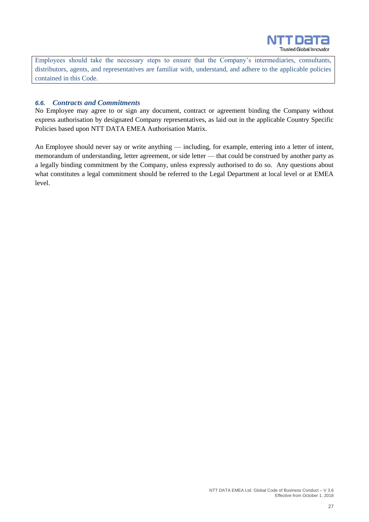

Employees should take the necessary steps to ensure that the Company's intermediaries, consultants, distributors, agents, and representatives are familiar with, understand, and adhere to the applicable policies contained in this Code.

#### <span id="page-26-0"></span>*6.6. Contracts and Commitments*

No Employee may agree to or sign any document, contract or agreement binding the Company without express authorisation by designated Company representatives, as laid out in the applicable Country Specific Policies based upon NTT DATA EMEA Authorisation Matrix.

An Employee should never say or write anything — including, for example, entering into a letter of intent, memorandum of understanding, letter agreement, or side letter — that could be construed by another party as a legally binding commitment by the Company, unless expressly authorised to do so. Any questions about what constitutes a legal commitment should be referred to the Legal Department at local level or at EMEA level.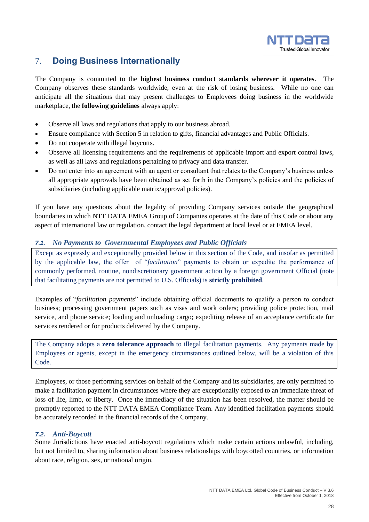

## <span id="page-27-0"></span>7. **Doing Business Internationally**

The Company is committed to the **highest business conduct standards wherever it operates**. The Company observes these standards worldwide, even at the risk of losing business. While no one can anticipate all the situations that may present challenges to Employees doing business in the worldwide marketplace, the **following guidelines** always apply:

- Observe all laws and regulations that apply to our business abroad.
- Ensure compliance with Section 5 in relation to gifts, financial advantages and Public Officials.
- Do not cooperate with illegal boycotts.
- Observe all licensing requirements and the requirements of applicable import and export control laws, as well as all laws and regulations pertaining to privacy and data transfer.
- Do not enter into an agreement with an agent or consultant that relates to the Company's business unless all appropriate approvals have been obtained as set forth in the Company's policies and the policies of subsidiaries (including applicable matrix/approval policies).

If you have any questions about the legality of providing Company services outside the geographical boundaries in which NTT DATA EMEA Group of Companies operates at the date of this Code or about any aspect of international law or regulation, contact the legal department at local level or at EMEA level.

#### <span id="page-27-1"></span>*7.1. No Payments to Governmental Employees and Public Officials*

Except as expressly and exceptionally provided below in this section of the Code, and insofar as permitted by the applicable law, the offer of "*facilitation*" payments to obtain or expedite the performance of commonly performed, routine, nondiscretionary government action by a foreign government Official (note that facilitating payments are not permitted to U.S. Officials) is **strictly prohibited**.

Examples of "*facilitation payments*" include obtaining official documents to qualify a person to conduct business; processing government papers such as visas and work orders; providing police protection, mail service, and phone service; loading and unloading cargo; expediting release of an acceptance certificate for services rendered or for products delivered by the Company.

The Company adopts a **zero tolerance approach** to illegal facilitation payments. Any payments made by Employees or agents, except in the emergency circumstances outlined below, will be a violation of this Code.

Employees, or those performing services on behalf of the Company and its subsidiaries, are only permitted to make a facilitation payment in circumstances where they are exceptionally exposed to an immediate threat of loss of life, limb, or liberty. Once the immediacy of the situation has been resolved, the matter should be promptly reported to the NTT DATA EMEA Compliance Team. Any identified facilitation payments should be accurately recorded in the financial records of the Company.

#### <span id="page-27-2"></span>*7.2. Anti-Boycott*

Some Jurisdictions have enacted anti-boycott regulations which make certain actions unlawful, including, but not limited to, sharing information about business relationships with boycotted countries, or information about race, religion, sex, or national origin.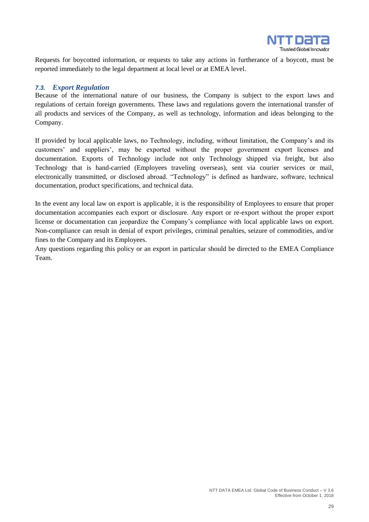

Requests for boycotted information, or requests to take any actions in furtherance of a boycott, must be reported immediately to the legal department at local level or at EMEA level.

#### <span id="page-28-0"></span>*7.3. Export Regulation*

Because of the international nature of our business, the Company is subject to the export laws and regulations of certain foreign governments. These laws and regulations govern the international transfer of all products and services of the Company, as well as technology, information and ideas belonging to the Company.

If provided by local applicable laws, no Technology, including, without limitation, the Company's and its customers' and suppliers', may be exported without the proper government export licenses and documentation. Exports of Technology include not only Technology shipped via freight, but also Technology that is hand-carried (Employees traveling overseas), sent via courier services or mail, electronically transmitted, or disclosed abroad. "Technology" is defined as hardware, software, technical documentation, product specifications, and technical data.

In the event any local law on export is applicable, it is the responsibility of Employees to ensure that proper documentation accompanies each export or disclosure. Any export or re-export without the proper export license or documentation can jeopardize the Company's compliance with local applicable laws on export. Non-compliance can result in denial of export privileges, criminal penalties, seizure of commodities, and/or fines to the Company and its Employees.

Any questions regarding this policy or an export in particular should be directed to the EMEA Compliance Team.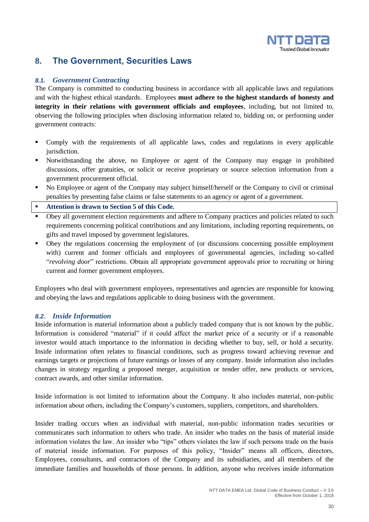

## <span id="page-29-0"></span>**8. The Government, Securities Laws**

### <span id="page-29-1"></span>*8.1. Government Contracting*

The Company is committed to conducting business in accordance with all applicable laws and regulations and with the highest ethical standards. Employees **must adhere to the highest standards of honesty and integrity in their relations with government officials and employees**, including, but not limited to, observing the following principles when disclosing information related to, bidding on, or performing under government contracts:

- Comply with the requirements of all applicable laws, codes and regulations in every applicable jurisdiction.
- Notwithstanding the above, no Employee or agent of the Company may engage in prohibited discussions, offer gratuities, or solicit or receive proprietary or source selection information from a government procurement official.
- No Employee or agent of the Company may subject himself/herself or the Company to civil or criminal penalties by presenting false claims or false statements to an agency or agent of a government.
- **Attention is drawn to Section 5 of this Code.**
- Obey all government election requirements and adhere to Company practices and policies related to such requirements concerning political contributions and any limitations, including reporting requirements, on gifts and travel imposed by government legislatures.
- Obey the regulations concerning the employment of (or discussions concerning possible employment with) current and former officials and employees of governmental agencies, including so-called "*revolving door*" restrictions. Obtain all appropriate government approvals prior to recruiting or hiring current and former government employees.

Employees who deal with government employees, representatives and agencies are responsible for knowing and obeying the laws and regulations applicable to doing business with the government.

#### <span id="page-29-2"></span>*8.2. Inside Information*

Inside information is material information about a publicly traded company that is not known by the public. Information is considered "material" if it could affect the market price of a security or if a reasonable investor would attach importance to the information in deciding whether to buy, sell, or hold a security. Inside information often relates to financial conditions, such as progress toward achieving revenue and earnings targets or projections of future earnings or losses of any company. Inside information also includes changes in strategy regarding a proposed merger, acquisition or tender offer, new products or services, contract awards, and other similar information.

Inside information is not limited to information about the Company. It also includes material, non-public information about others, including the Company's customers, suppliers, competitors, and shareholders.

Insider trading occurs when an individual with material, non-public information trades securities or communicates such information to others who trade. An insider who trades on the basis of material inside information violates the law. An insider who "tips" others violates the law if such persons trade on the basis of material inside information. For purposes of this policy, "Insider" means all officers, directors, Employees, consultants, and contractors of the Company and its subsidiaries, and all members of the immediate families and households of those persons. In addition, anyone who receives inside information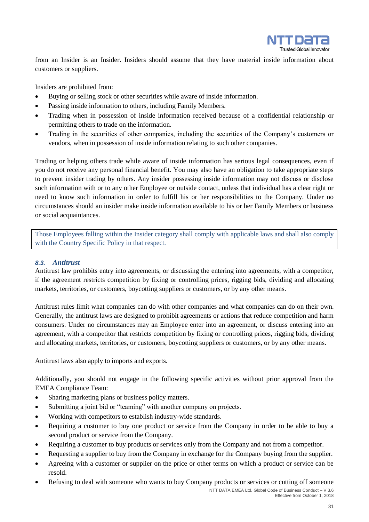

from an Insider is an Insider. Insiders should assume that they have material inside information about customers or suppliers.

Insiders are prohibited from:

- Buying or selling stock or other securities while aware of inside information.
- Passing inside information to others, including Family Members.
- Trading when in possession of inside information received because of a confidential relationship or permitting others to trade on the information.
- Trading in the securities of other companies, including the securities of the Company's customers or vendors, when in possession of inside information relating to such other companies.

Trading or helping others trade while aware of inside information has serious legal consequences, even if you do not receive any personal financial benefit. You may also have an obligation to take appropriate steps to prevent insider trading by others. Any insider possessing inside information may not discuss or disclose such information with or to any other Employee or outside contact, unless that individual has a clear right or need to know such information in order to fulfill his or her responsibilities to the Company. Under no circumstances should an insider make inside information available to his or her Family Members or business or social acquaintances.

Those Employees falling within the Insider category shall comply with applicable laws and shall also comply with the Country Specific Policy in that respect.

#### <span id="page-30-0"></span>*8.3. Antitrust*

Antitrust law prohibits entry into agreements, or discussing the entering into agreements, with a competitor, if the agreement restricts competition by fixing or controlling prices, rigging bids, dividing and allocating markets, territories, or customers, boycotting suppliers or customers, or by any other means.

Antitrust rules limit what companies can do with other companies and what companies can do on their own. Generally, the antitrust laws are designed to prohibit agreements or actions that reduce competition and harm consumers. Under no circumstances may an Employee enter into an agreement, or discuss entering into an agreement, with a competitor that restricts competition by fixing or controlling prices, rigging bids, dividing and allocating markets, territories, or customers, boycotting suppliers or customers, or by any other means.

Antitrust laws also apply to imports and exports.

Additionally, you should not engage in the following specific activities without prior approval from the EMEA Compliance Team:

- Sharing marketing plans or business policy matters.
- Submitting a joint bid or "teaming" with another company on projects.
- Working with competitors to establish industry-wide standards.
- Requiring a customer to buy one product or service from the Company in order to be able to buy a second product or service from the Company.
- Requiring a customer to buy products or services only from the Company and not from a competitor.
- Requesting a supplier to buy from the Company in exchange for the Company buying from the supplier.
- Agreeing with a customer or supplier on the price or other terms on which a product or service can be resold.
- NTT DATA EMEA Ltd. Global Code of Business Conduct V 3.6 • Refusing to deal with someone who wants to buy Company products or services or cutting off someone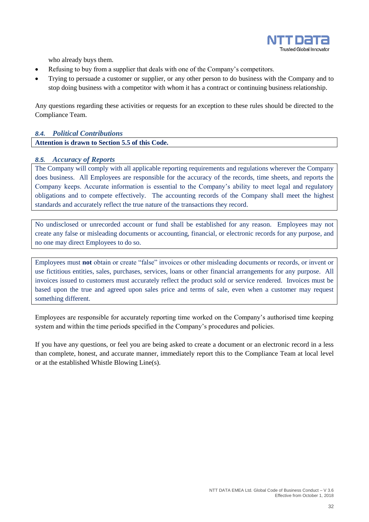

who already buys them.

- Refusing to buy from a supplier that deals with one of the Company's competitors.
- Trying to persuade a customer or supplier, or any other person to do business with the Company and to stop doing business with a competitor with whom it has a contract or continuing business relationship.

Any questions regarding these activities or requests for an exception to these rules should be directed to the Compliance Team.

## <span id="page-31-0"></span>*8.4. Political Contributions*

**Attention is drawn to Section 5.5 of this Code.**

#### <span id="page-31-1"></span>*8.5. Accuracy of Reports*

The Company will comply with all applicable reporting requirements and regulations wherever the Company does business. All Employees are responsible for the accuracy of the records, time sheets, and reports the Company keeps. Accurate information is essential to the Company's ability to meet legal and regulatory obligations and to compete effectively. The accounting records of the Company shall meet the highest standards and accurately reflect the true nature of the transactions they record.

No undisclosed or unrecorded account or fund shall be established for any reason. Employees may not create any false or misleading documents or accounting, financial, or electronic records for any purpose, and no one may direct Employees to do so.

Employees must **not** obtain or create "false" invoices or other misleading documents or records, or invent or use fictitious entities, sales, purchases, services, loans or other financial arrangements for any purpose. All invoices issued to customers must accurately reflect the product sold or service rendered. Invoices must be based upon the true and agreed upon sales price and terms of sale, even when a customer may request something different.

Employees are responsible for accurately reporting time worked on the Company's authorised time keeping system and within the time periods specified in the Company's procedures and policies.

If you have any questions, or feel you are being asked to create a document or an electronic record in a less than complete, honest, and accurate manner, immediately report this to the Compliance Team at local level or at the established Whistle Blowing Line(s).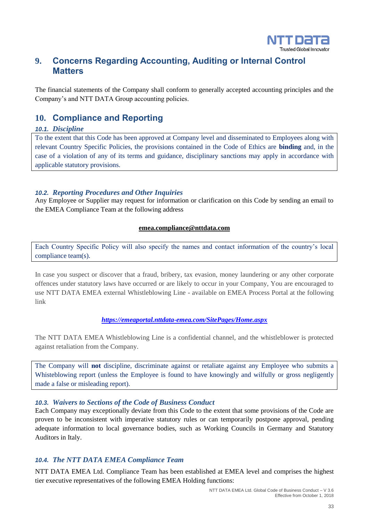

## <span id="page-32-0"></span>**9. Concerns Regarding Accounting, Auditing or Internal Control Matters**

The financial statements of the Company shall conform to generally accepted accounting principles and the Company's and NTT DATA Group accounting policies.

## <span id="page-32-1"></span>**10. Compliance and Reporting**

### <span id="page-32-2"></span>*10.1. Discipline*

To the extent that this Code has been approved at Company level and disseminated to Employees along with relevant Country Specific Policies, the provisions contained in the Code of Ethics are **binding** and, in the case of a violation of any of its terms and guidance, disciplinary sanctions may apply in accordance with applicable statutory provisions.

## <span id="page-32-3"></span>*10.2. Reporting Procedures and Other Inquiries*

Any Employee or Supplier may request for information or clarification on this Code by sending an email to the EMEA Compliance Team at the following address

### **[emea.compliance@nttdata.com](mailto:emea.compliance@nttdata.com)**

Each Country Specific Policy will also specify the names and contact information of the country's local compliance team(s).

In case you suspect or discover that a fraud, bribery, tax evasion, money laundering or any other corporate offences under statutory laws have occurred or are likely to occur in your Company, You are encouraged to use NTT DATA EMEA external Whistleblowing Line - available on EMEA Process Portal at the following link

### *<https://emeaportal.nttdata-emea.com/SitePages/Home.aspx>*

The NTT DATA EMEA Whistleblowing Line is a confidential channel, and the whistleblower is protected against retaliation from the Company.

The Company will **not** discipline, discriminate against or retaliate against any Employee who submits a Whisteblowing report (unless the Employee is found to have knowingly and wilfully or gross negligently made a false or misleading report).

### <span id="page-32-4"></span>*10.3. Waivers to Sections of the Code of Business Conduct*

Each Company may exceptionally deviate from this Code to the extent that some provisions of the Code are proven to be inconsistent with imperative statutory rules or can temporarily postpone approval, pending adequate information to local governance bodies, such as Working Councils in Germany and Statutory Auditors in Italy.

## <span id="page-32-5"></span>*10.4. The NTT DATA EMEA Compliance Team*

NTT DATA EMEA Ltd. Compliance Team has been established at EMEA level and comprises the highest tier executive representatives of the following EMEA Holding functions: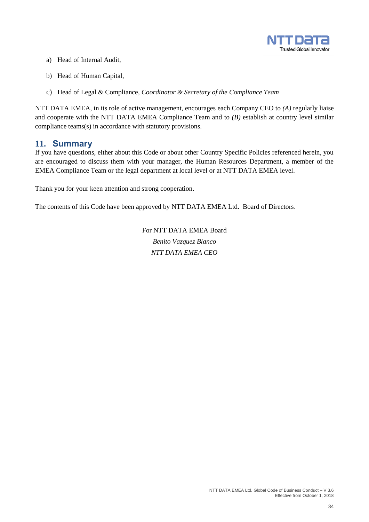

- a) Head of Internal Audit,
- b) Head of Human Capital,
- c) Head of Legal & Compliance, *Coordinator & Secretary of the Compliance Team*

NTT DATA EMEA, in its role of active management, encourages each Company CEO to *(A)* regularly liaise and cooperate with the NTT DATA EMEA Compliance Team and to *(B)* establish at country level similar compliance teams(s) in accordance with statutory provisions.

## <span id="page-33-0"></span>**11. Summary**

If you have questions, either about this Code or about other Country Specific Policies referenced herein, you are encouraged to discuss them with your manager, the Human Resources Department, a member of the EMEA Compliance Team or the legal department at local level or at NTT DATA EMEA level.

Thank you for your keen attention and strong cooperation.

The contents of this Code have been approved by NTT DATA EMEA Ltd. Board of Directors.

For NTT DATA EMEA Board *Benito Vazquez Blanco NTT DATA EMEA CEO*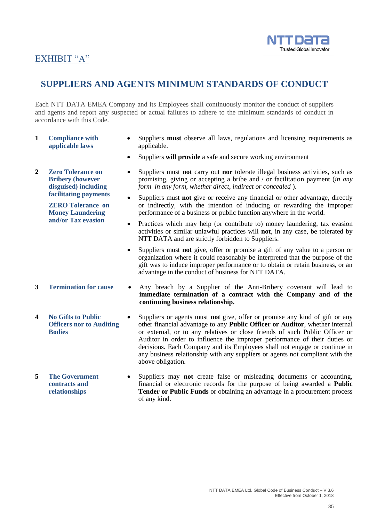

## EXHIBIT "A"

## **SUPPLIERS AND AGENTS MINIMUM STANDARDS OF CONDUCT**

Each NTT DATA EMEA Company and its Employees shall continuously monitor the conduct of suppliers and agents and report any suspected or actual failures to adhere to the minimum standards of conduct in accordance with this Code.

- **1 Compliance with applicable laws**
- **2 Zero Tolerance on Bribery (however disguised) including facilitating payments**

**ZERO Tolerance on Money Laundering and/or Tax evasion**

- 
- **4 No Gifts to Public Officers nor to Auditing Bodies**
- **5 The Government contracts and relationships**
- Suppliers **must** observe all laws, regulations and licensing requirements as applicable.
- Suppliers **will provide** a safe and secure working environment
- Suppliers must **not** carry out **nor** tolerate illegal business activities, such as promising, giving or accepting a bribe and / or facilitation payment (*in any form in any form, whether direct, indirect or concealed* ).
- Suppliers must **not** give or receive any financial or other advantage, directly or indirectly, with the intention of inducing or rewarding the improper performance of a business or public function anywhere in the world.
- Practices which may help (or contribute to) money laundering, tax evasion activities or similar unlawful practices will **not**, in any case, be tolerated by NTT DATA and are strictly forbidden to Suppliers.
- Suppliers must **not** give, offer or promise a gift of any value to a person or organization where it could reasonably be interpreted that the purpose of the gift was to induce improper performance or to obtain or retain business, or an advantage in the conduct of business for NTT DATA.
- **3 Termination for cause**  Any breach by a Supplier of the Anti-Bribery covenant will lead to **immediate termination of a contract with the Company and of the continuing business relationship.**
	- Suppliers or agents must **not** give, offer or promise any kind of gift or any other financial advantage to any **Public Officer or Auditor**, whether internal or external, or to any relatives or close friends of such Public Officer or Auditor in order to influence the improper performance of their duties or decisions. Each Company and its Employees shall not engage or continue in any business relationship with any suppliers or agents not compliant with the above obligation.
	- Suppliers may **not** create false or misleading documents or accounting, financial or electronic records for the purpose of being awarded a **Public Tender or Public Funds** or obtaining an advantage in a procurement process of any kind.